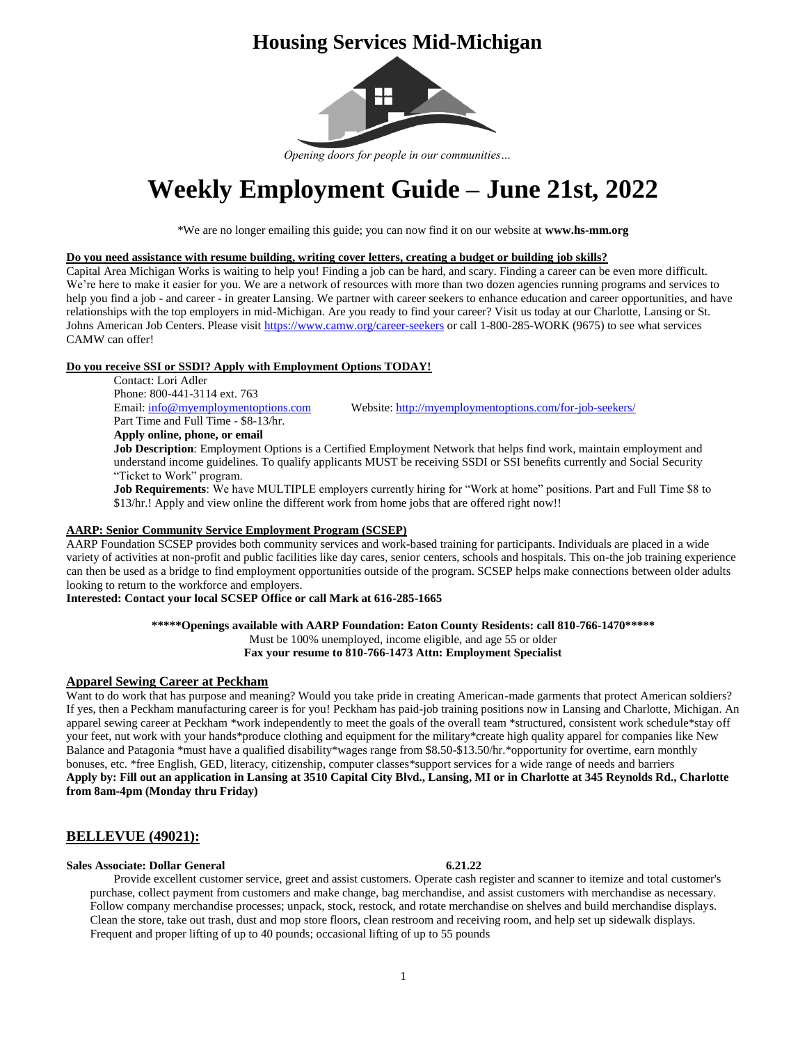# **Housing Services Mid-Michigan**



*Opening doors for people in our communities…*

# **Weekly Employment Guide – June 21st, 2022**

\*We are no longer emailing this guide; you can now find it on our website at **www.hs-mm.org**

### **Do you need assistance with resume building, writing cover letters, creating a budget or building job skills?**

Capital Area Michigan Works is waiting to help you! Finding a job can be hard, and scary. Finding a career can be even more difficult. We're here to make it easier for you. We are a network of resources with more than two dozen agencies running programs and services to help you find a job - and career - in greater Lansing. We partner with career seekers to enhance education and career opportunities, and have relationships with the top employers in mid-Michigan. Are you ready to find your career? Visit us today at our Charlotte, Lansing or St. Johns American Job Centers. Please visi[t https://www.camw.org/career-seekers](https://www.camw.org/career-seekers) or call 1-800-285-WORK (9675) to see what services CAMW can offer!

# **Do you receive SSI or SSDI? Apply with Employment Options TODAY!**

Contact: Lori Adler Phone: 800-441-3114 ext. 763 Email[: info@myemploymentoptions.com](mailto:info@myemploymentoptions.com) Website[: http://myemploymentoptions.com/for-job-seekers/](http://myemploymentoptions.com/for-job-seekers/) Part Time and Full Time - \$8-13/hr. **Apply online, phone, or email**

**Job Description**: Employment Options is a Certified Employment Network that helps find work, maintain employment and understand income guidelines. To qualify applicants MUST be receiving SSDI or SSI benefits currently and Social Security "Ticket to Work" program.

**Job Requirements**: We have MULTIPLE employers currently hiring for "Work at home" positions. Part and Full Time \$8 to \$13/hr.! Apply and view online the different work from home jobs that are offered right now!!

### **AARP: Senior Community Service Employment Program (SCSEP)**

AARP Foundation SCSEP provides both community services and work-based training for participants. Individuals are placed in a wide variety of activities at non-profit and public facilities like day cares, senior centers, schools and hospitals. This on-the job training experience can then be used as a bridge to find employment opportunities outside of the program. SCSEP helps make connections between older adults looking to return to the workforce and employers.

### **Interested: Contact your local SCSEP Office or call Mark at 616-285-1665**

### **\*\*\*\*\*Openings available with AARP Foundation: Eaton County Residents: call 810-766-1470\*\*\*\*\***

Must be 100% unemployed, income eligible, and age 55 or older **Fax your resume to 810-766-1473 Attn: Employment Specialist**

# **Apparel Sewing Career at Peckham**

Want to do work that has purpose and meaning? Would you take pride in creating American-made garments that protect American soldiers? If yes, then a Peckham manufacturing career is for you! Peckham has paid-job training positions now in Lansing and Charlotte, Michigan. An apparel sewing career at Peckham \*work independently to meet the goals of the overall team \*structured, consistent work schedule\*stay off your feet, nut work with your hands\*produce clothing and equipment for the military\*create high quality apparel for companies like New Balance and Patagonia \*must have a qualified disability\*wages range from \$8.50-\$13.50/hr.\*opportunity for overtime, earn monthly bonuses, etc. \*free English, GED, literacy, citizenship, computer classes\*support services for a wide range of needs and barriers **Apply by: Fill out an application in Lansing at 3510 Capital City Blvd., Lansing, MI or in Charlotte at 345 Reynolds Rd., Charlotte from 8am-4pm (Monday thru Friday)**

# **BELLEVUE (49021):**

### **Sales Associate: Dollar General 6.21.22**

Provide excellent customer service, greet and assist customers. Operate cash register and scanner to itemize and total customer's purchase, collect payment from customers and make change, bag merchandise, and assist customers with merchandise as necessary. Follow company merchandise processes; unpack, stock, restock, and rotate merchandise on shelves and build merchandise displays. Clean the store, take out trash, dust and mop store floors, clean restroom and receiving room, and help set up sidewalk displays. Frequent and proper lifting of up to 40 pounds; occasional lifting of up to 55 pounds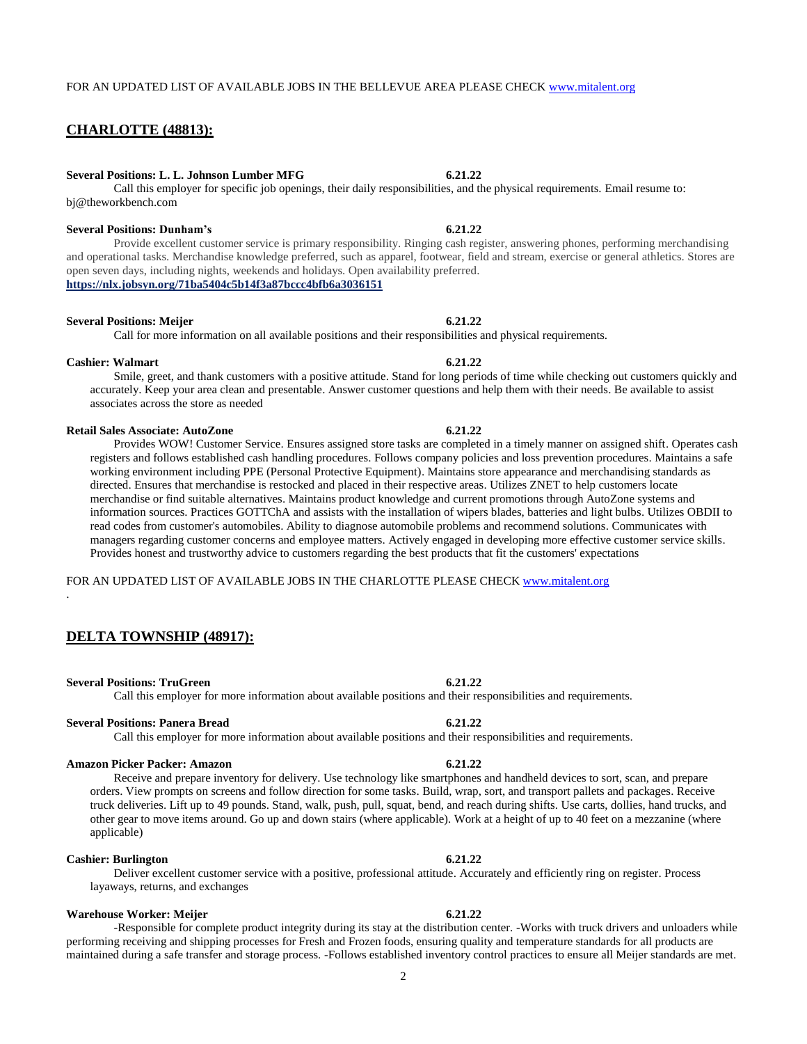# **CHARLOTTE (48813):**

bj@theworkbench.com

#### **Several Positions: L. L. Johnson Lumber MFG 6.21.22**

# **Several Positions: Dunham's 6.21.22**

Provide excellent customer service is primary responsibility. Ringing cash register, answering phones, performing merchandising and operational tasks. Merchandise knowledge preferred, such as apparel, footwear, field and stream, exercise or general athletics. Stores are open seven days, including nights, weekends and holidays. Open availability preferred. **<https://nlx.jobsyn.org/71ba5404c5b14f3a87bccc4bfb6a3036151>**

### **Several Positions: Meijer 6.21.22**

### Call for more information on all available positions and their responsibilities and physical requirements.

**Cashier: Walmart 6.21.22** Smile, greet, and thank customers with a positive attitude. Stand for long periods of time while checking out customers quickly and accurately. Keep your area clean and presentable. Answer customer questions and help them with their needs. Be available to assist associates across the store as needed

#### **Retail Sales Associate: AutoZone 6.21.22**

Provides WOW! Customer Service. Ensures assigned store tasks are completed in a timely manner on assigned shift. Operates cash registers and follows established cash handling procedures. Follows company policies and loss prevention procedures. Maintains a safe working environment including PPE (Personal Protective Equipment). Maintains store appearance and merchandising standards as directed. Ensures that merchandise is restocked and placed in their respective areas. Utilizes ZNET to help customers locate merchandise or find suitable alternatives. Maintains product knowledge and current promotions through AutoZone systems and information sources. Practices GOTTChA and assists with the installation of wipers blades, batteries and light bulbs. Utilizes OBDII to read codes from customer's automobiles. Ability to diagnose automobile problems and recommend solutions. Communicates with managers regarding customer concerns and employee matters. Actively engaged in developing more effective customer service skills. Provides honest and trustworthy advice to customers regarding the best products that fit the customers' expectations

FOR AN UPDATED LIST OF AVAILABLE JOBS IN THE CHARLOTTE PLEASE CHECK [www.mitalent.org](http://www.mitalent.org/)

### **DELTA TOWNSHIP (48917):**

#### **Several Positions: TruGreen 6.21.22**

.

#### Call this employer for more information about available positions and their responsibilities and requirements.

### **Several Positions: Panera Bread 6.21.22**

Call this employer for more information about available positions and their responsibilities and requirements.

#### **Amazon Picker Packer: Amazon 6.21.22**

Receive and prepare inventory for delivery. Use technology like smartphones and handheld devices to sort, scan, and prepare orders. View prompts on screens and follow direction for some tasks. Build, wrap, sort, and transport pallets and packages. Receive truck deliveries. Lift up to 49 pounds. Stand, walk, push, pull, squat, bend, and reach during shifts. Use carts, dollies, hand trucks, and other gear to move items around. Go up and down stairs (where applicable). Work at a height of up to 40 feet on a mezzanine (where applicable)

#### **Cashier: Burlington 6.21.22**

Deliver excellent customer service with a positive, professional attitude. Accurately and efficiently ring on register. Process layaways, returns, and exchanges

#### **Warehouse Worker: Meijer 6.21.22**

-Responsible for complete product integrity during its stay at the distribution center. -Works with truck drivers and unloaders while performing receiving and shipping processes for Fresh and Frozen foods, ensuring quality and temperature standards for all products are maintained during a safe transfer and storage process. -Follows established inventory control practices to ensure all Meijer standards are met.

# Call this employer for specific job openings, their daily responsibilities, and the physical requirements. Email resume to: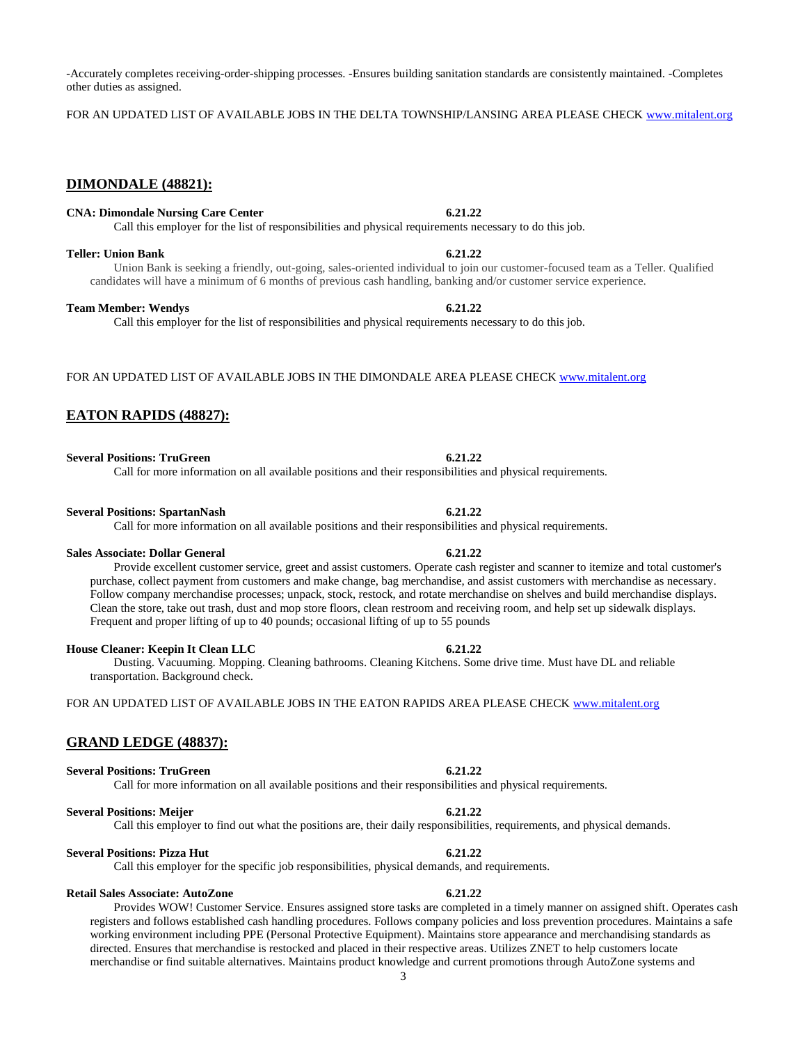-Accurately completes receiving-order-shipping processes. -Ensures building sanitation standards are consistently maintained. -Completes other duties as assigned.

FOR AN UPDATED LIST OF AVAILABLE JOBS IN THE DELTA TOWNSHIP/LANSING AREA PLEASE CHECK [www.mitalent.org](http://www.mitalent.org/)

### **DIMONDALE (48821):**

### **CNA: Dimondale Nursing Care Center 6.21.22**

Call this employer for the list of responsibilities and physical requirements necessary to do this job.

#### **Teller: Union Bank 6.21.22**

Union Bank is seeking a friendly, out-going, sales-oriented individual to join our customer-focused team as a Teller. Qualified candidates will have a minimum of 6 months of previous cash handling, banking and/or customer service experience.

#### **Team Member: Wendys 6.21.22**

Call this employer for the list of responsibilities and physical requirements necessary to do this job.

FOR AN UPDATED LIST OF AVAILABLE JOBS IN THE DIMONDALE AREA PLEASE CHEC[K www.mitalent.org](http://www.mitalent.org/)

### **EATON RAPIDS (48827):**

**Several Positions: TruGreen 6.21.22** 

Call for more information on all available positions and their responsibilities and physical requirements.

#### **Several Positions: SpartanNash 6.21.22**

Call for more information on all available positions and their responsibilities and physical requirements.

#### **Sales Associate: Dollar General 6.21.22**

Provide excellent customer service, greet and assist customers. Operate cash register and scanner to itemize and total customer's purchase, collect payment from customers and make change, bag merchandise, and assist customers with merchandise as necessary. Follow company merchandise processes; unpack, stock, restock, and rotate merchandise on shelves and build merchandise displays. Clean the store, take out trash, dust and mop store floors, clean restroom and receiving room, and help set up sidewalk displays. Frequent and proper lifting of up to 40 pounds; occasional lifting of up to 55 pounds

#### **House Cleaner: Keepin It Clean LLC 6.21.22**

Dusting. Vacuuming. Mopping. Cleaning bathrooms. Cleaning Kitchens. Some drive time. Must have DL and reliable transportation. Background check.

FOR AN UPDATED LIST OF AVAILABLE JOBS IN THE EATON RAPIDS AREA PLEASE CHECK [www.mitalent.org](http://www.mitalent.org/)

#### **GRAND LEDGE (48837):**

#### **Several Positions: TruGreen 6.21.22**

Call for more information on all available positions and their responsibilities and physical requirements.

#### **Several Positions: Meijer 6.21.22**

Call this employer to find out what the positions are, their daily responsibilities, requirements, and physical demands.

#### **Several Positions: Pizza Hut 6.21.22**

Call this employer for the specific job responsibilities, physical demands, and requirements.

#### **Retail Sales Associate: AutoZone 6.21.22**

#### Provides WOW! Customer Service. Ensures assigned store tasks are completed in a timely manner on assigned shift. Operates cash registers and follows established cash handling procedures. Follows company policies and loss prevention procedures. Maintains a safe working environment including PPE (Personal Protective Equipment). Maintains store appearance and merchandising standards as directed. Ensures that merchandise is restocked and placed in their respective areas. Utilizes ZNET to help customers locate merchandise or find suitable alternatives. Maintains product knowledge and current promotions through AutoZone systems and

### 3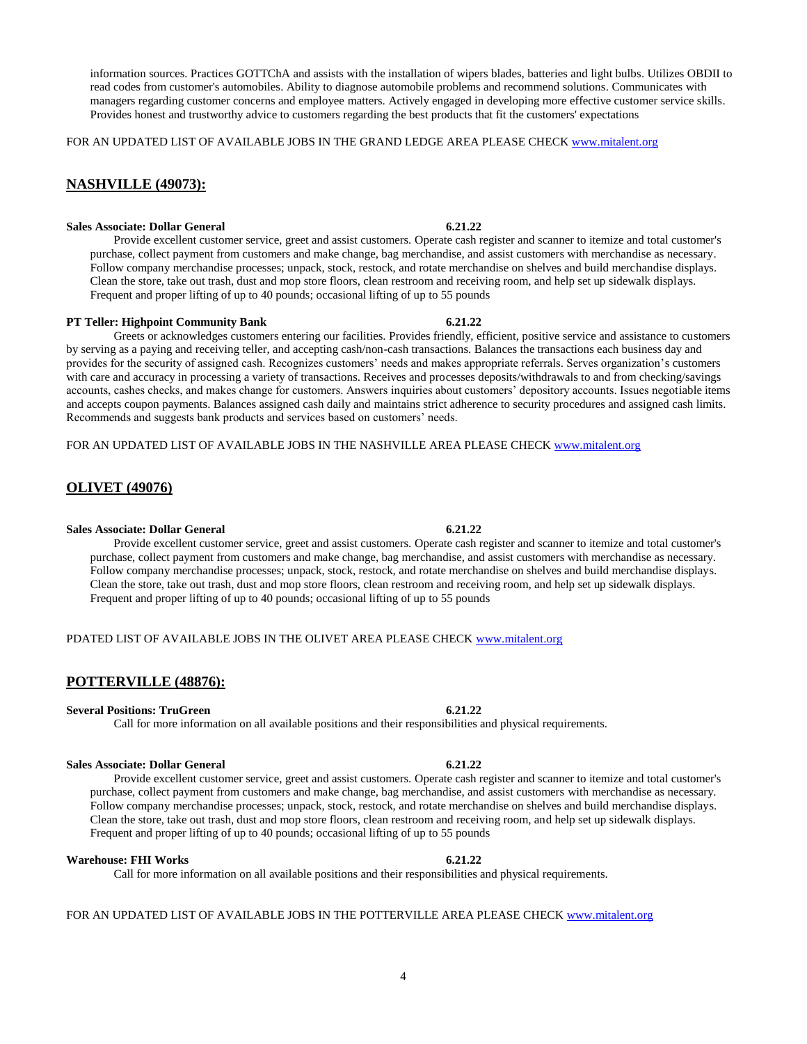information sources. Practices GOTTChA and assists with the installation of wipers blades, batteries and light bulbs. Utilizes OBDII to read codes from customer's automobiles. Ability to diagnose automobile problems and recommend solutions. Communicates with managers regarding customer concerns and employee matters. Actively engaged in developing more effective customer service skills. Provides honest and trustworthy advice to customers regarding the best products that fit the customers' expectations

FOR AN UPDATED LIST OF AVAILABLE JOBS IN THE GRAND LEDGE AREA PLEASE CHECK [www.mitalent.org](http://www.mitalent.org/)

# **NASHVILLE (49073):**

### **Sales Associate: Dollar General 6.21.22**

Provide excellent customer service, greet and assist customers. Operate cash register and scanner to itemize and total customer's purchase, collect payment from customers and make change, bag merchandise, and assist customers with merchandise as necessary. Follow company merchandise processes; unpack, stock, restock, and rotate merchandise on shelves and build merchandise displays. Clean the store, take out trash, dust and mop store floors, clean restroom and receiving room, and help set up sidewalk displays. Frequent and proper lifting of up to 40 pounds; occasional lifting of up to 55 pounds

#### **PT Teller: Highpoint Community Bank 6.21.22**

Greets or acknowledges customers entering our facilities. Provides friendly, efficient, positive service and assistance to customers by serving as a paying and receiving teller, and accepting cash/non-cash transactions. Balances the transactions each business day and provides for the security of assigned cash. Recognizes customers' needs and makes appropriate referrals. Serves organization's customers with care and accuracy in processing a variety of transactions. Receives and processes deposits/withdrawals to and from checking/savings accounts, cashes checks, and makes change for customers. Answers inquiries about customers' depository accounts. Issues negotiable items and accepts coupon payments. Balances assigned cash daily and maintains strict adherence to security procedures and assigned cash limits. Recommends and suggests bank products and services based on customers' needs.

FOR AN UPDATED LIST OF AVAILABLE JOBS IN THE NASHVILLE AREA PLEASE CHEC[K www.mitalent.org](http://www.mitalent.org/)

### **OLIVET (49076)**

#### **Sales Associate: Dollar General 6.21.22**

Provide excellent customer service, greet and assist customers. Operate cash register and scanner to itemize and total customer's purchase, collect payment from customers and make change, bag merchandise, and assist customers with merchandise as necessary. Follow company merchandise processes; unpack, stock, restock, and rotate merchandise on shelves and build merchandise displays. Clean the store, take out trash, dust and mop store floors, clean restroom and receiving room, and help set up sidewalk displays. Frequent and proper lifting of up to 40 pounds; occasional lifting of up to 55 pounds

### PDATED LIST OF AVAILABLE JOBS IN THE OLIVET AREA PLEASE CHECK [www.mitalent.org](http://www.mitalent.org/)

### **POTTERVILLE (48876):**

#### **Several Positions: TruGreen 6.21.22**

#### Call for more information on all available positions and their responsibilities and physical requirements.

### **Sales Associate: Dollar General 6.21.22**

Provide excellent customer service, greet and assist customers. Operate cash register and scanner to itemize and total customer's purchase, collect payment from customers and make change, bag merchandise, and assist customers with merchandise as necessary. Follow company merchandise processes; unpack, stock, restock, and rotate merchandise on shelves and build merchandise displays. Clean the store, take out trash, dust and mop store floors, clean restroom and receiving room, and help set up sidewalk displays. Frequent and proper lifting of up to 40 pounds; occasional lifting of up to 55 pounds

#### **Warehouse: FHI Works 6.21.22**

Call for more information on all available positions and their responsibilities and physical requirements.

#### FOR AN UPDATED LIST OF AVAILABLE JOBS IN THE POTTERVILLE AREA PLEASE CHECK [www.mitalent.org](http://www.mitalent.org/)